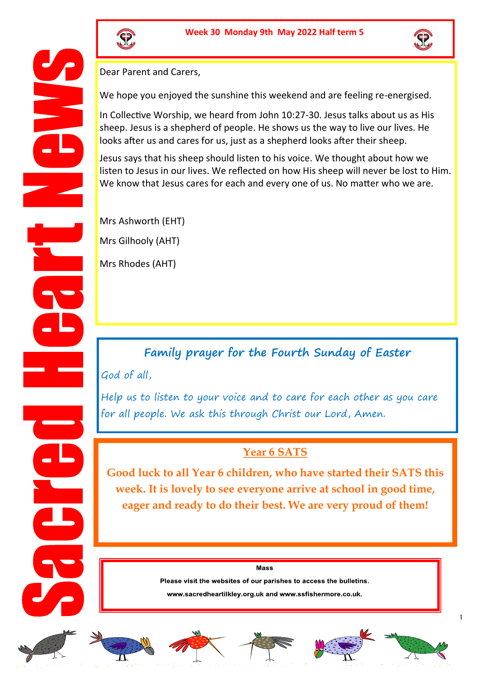



Dear Parent and Carers,

We hope you enjoyed the sunshine this weekend and are feeling re-energised.

In Collective Worship, we heard from John 10:27-30. Jesus talks about us as His sheep. Jesus is a shepherd of people. He shows us the way to live our lives. He looks after us and cares for us, just as a shepherd looks after their sheep.

Jesus says that his sheep should listen to his voice. We thought about how we listen to Jesus in our lives. We reflected on how His sheep will never be lost to Him. We know that Jesus cares for each and every one of us. No matter who we are.

Mrs Ashworth (EHT) Mrs Gilhooly (AHT)

Mrs Rhodes (AHT)

## **Family prayer for the Fourth Sunday of Easter**

God of all,

Help us to listen to your voice and to care for each other as you care for all people. We ask this through Christ our Lord, Amen.

## **Year 6 SATS**

**Good luck to all Year 6 children, who have started their SATS this week. It is lovely to see everyone arrive at school in good time, eager and ready to do their best. We are very proud of them!** 

Mass

Please visit the websites of our parishes to access the bulletins.

www.sacredheartilkley.org.uk and www.ssfishermore.co.uk.











1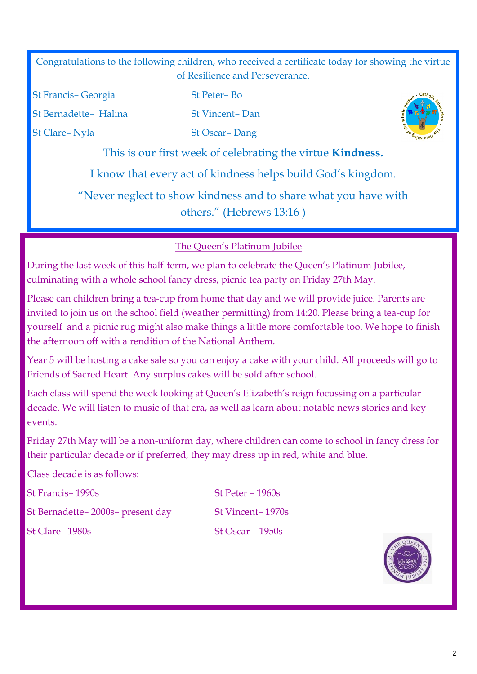Congratulations to the following children, who received a certificate today for showing the virtue of Resilience and Perseverance.

St Francis– Georgia St Peter– Bo

St Bernadette– Halina<br>
St Vincent– Dan

St Clare– Nyla St Oscar– Dang



This is our first week of celebrating the virtue **Kindness.**

I know that every act of kindness helps build God's kingdom.

"Never neglect to show kindness and to share what you have with others." (Hebrews 13:16 )

## The Queen's Platinum Jubilee

During the last week of this half-term, we plan to celebrate the Queen's Platinum Jubilee, culminating with a whole school fancy dress, picnic tea party on Friday 27th May.

Please can children bring a tea-cup from home that day and we will provide juice. Parents are invited to join us on the school field (weather permitting) from 14:20. Please bring a tea-cup for yourself and a picnic rug might also make things a little more comfortable too. We hope to finish the afternoon off with a rendition of the National Anthem.

Year 5 will be hosting a cake sale so you can enjoy a cake with your child. All proceeds will go to Friends of Sacred Heart. Any surplus cakes will be sold after school.

Each class will spend the week looking at Queen's Elizabeth's reign focussing on a particular decade. We will listen to music of that era, as well as learn about notable news stories and key events.

Friday 27th May will be a non-uniform day, where children can come to school in fancy dress for their particular decade or if preferred, they may dress up in red, white and blue.

Class decade is as follows:

St Francis– 1990s St Peter – 1960s

St Bernadette– 2000s– present day St Vincent– 1970s

 $St$  Clare–  $1980s$  St Oscar –  $1950s$